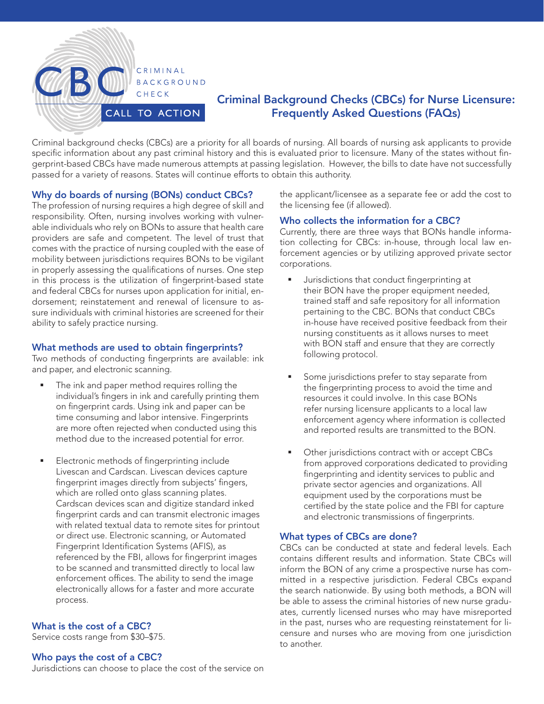

# Criminal Background Checks (CBCs) for Nurse Licensure: Frequently Asked Questions (FAQs)

Criminal background checks (CBCs) are a priority for all boards of nursing. All boards of nursing ask applicants to provide specific information about any past criminal history and this is evaluated prior to licensure. Many of the states without fingerprint-based CBCs have made numerous attempts at passing legislation. However, the bills to date have not successfully passed for a variety of reasons. States will continue efforts to obtain this authority.

#### Why do boards of nursing (BONs) conduct CBCs?

The profession of nursing requires a high degree of skill and responsibility. Often, nursing involves working with vulnerable individuals who rely on BONs to assure that health care providers are safe and competent. The level of trust that comes with the practice of nursing coupled with the ease of mobility between jurisdictions requires BONs to be vigilant in properly assessing the qualifications of nurses. One step in this process is the utilization of fingerprint-based state and federal CBCs for nurses upon application for initial, endorsement; reinstatement and renewal of licensure to assure individuals with criminal histories are screened for their ability to safely practice nursing.

#### What methods are used to obtain fingerprints?

Two methods of conducting fingerprints are available: ink and paper, and electronic scanning.

- The ink and paper method requires rolling the individual's fingers in ink and carefully printing them on fingerprint cards. Using ink and paper can be time consuming and labor intensive. Fingerprints are more often rejected when conducted using this method due to the increased potential for error.
- **Electronic methods of fingerprinting include** Livescan and Cardscan. Livescan devices capture fingerprint images directly from subjects' fingers, which are rolled onto glass scanning plates. Cardscan devices scan and digitize standard inked fingerprint cards and can transmit electronic images with related textual data to remote sites for printout or direct use. Electronic scanning, or Automated Fingerprint Identification Systems (AFIS), as referenced by the FBI, allows for fingerprint images to be scanned and transmitted directly to local law enforcement offices. The ability to send the image electronically allows for a faster and more accurate process.

## What is the cost of a CBC?

Service costs range from \$30–\$75.

#### Who pays the cost of a CBC?

Jurisdictions can choose to place the cost of the service on

the applicant/licensee as a separate fee or add the cost to the licensing fee (if allowed).

#### Who collects the information for a CBC?

Currently, there are three ways that BONs handle information collecting for CBCs: in-house, through local law enforcement agencies or by utilizing approved private sector corporations.

- Jurisdictions that conduct fingerprinting at their BON have the proper equipment needed, trained staff and safe repository for all information pertaining to the CBC. BONs that conduct CBCs in-house have received positive feedback from their nursing constituents as it allows nurses to meet with BON staff and ensure that they are correctly following protocol.
- Some jurisdictions prefer to stay separate from the fingerprinting process to avoid the time and resources it could involve. In this case BONs refer nursing licensure applicants to a local law enforcement agency where information is collected and reported results are transmitted to the BON.
- **•** Other jurisdictions contract with or accept CBCs from approved corporations dedicated to providing fingerprinting and identity services to public and private sector agencies and organizations. All equipment used by the corporations must be certified by the state police and the FBI for capture and electronic transmissions of fingerprints.

#### What types of CBCs are done?

CBCs can be conducted at state and federal levels. Each contains different results and information. State CBCs will inform the BON of any crime a prospective nurse has committed in a respective jurisdiction. Federal CBCs expand the search nationwide. By using both methods, a BON will be able to assess the criminal histories of new nurse graduates, currently licensed nurses who may have misreported in the past, nurses who are requesting reinstatement for licensure and nurses who are moving from one jurisdiction to another.